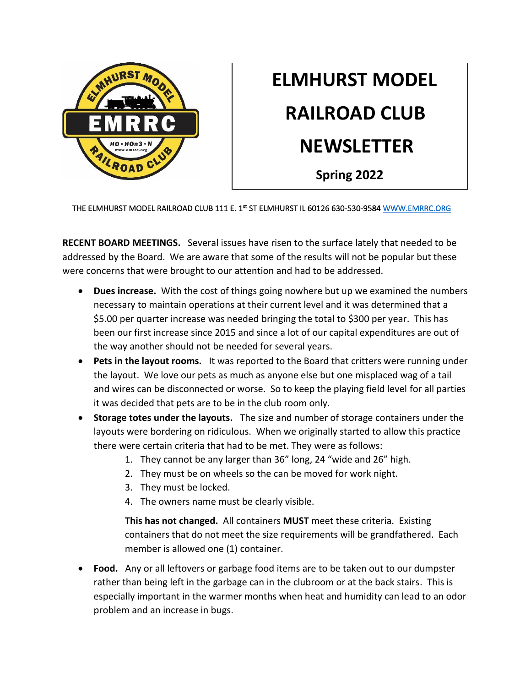

## **ELMHURST MODEL RAILROAD CLUB NEWSLETTER Spring 2022**

THE ELMHURST MODEL RAILROAD CLUB 111 E. 1st ST ELMHURST IL 60126 630-530-9584 WWW.EMRRC.ORG

**RECENT BOARD MEETINGS.** Several issues have risen to the surface lately that needed to be addressed by the Board. We are aware that some of the results will not be popular but these were concerns that were brought to our attention and had to be addressed.

- **Dues increase.** With the cost of things going nowhere but up we examined the numbers necessary to maintain operations at their current level and it was determined that a \$5.00 per quarter increase was needed bringing the total to \$300 per year. This has been our first increase since 2015 and since a lot of our capital expenditures are out of the way another should not be needed for several years.
- **Pets in the layout rooms.** It was reported to the Board that critters were running under the layout. We love our pets as much as anyone else but one misplaced wag of a tail and wires can be disconnected or worse. So to keep the playing field level for all parties it was decided that pets are to be in the club room only.
- **Storage totes under the layouts.** The size and number of storage containers under the layouts were bordering on ridiculous. When we originally started to allow this practice there were certain criteria that had to be met. They were as follows:
	- 1. They cannot be any larger than 36" long, 24 "wide and 26" high.
	- 2. They must be on wheels so the can be moved for work night.
	- 3. They must be locked.
	- 4. The owners name must be clearly visible.

**This has not changed.** All containers **MUST** meet these criteria. Existing containers that do not meet the size requirements will be grandfathered. Each member is allowed one (1) container.

• **Food.** Any or all leftovers or garbage food items are to be taken out to our dumpster rather than being left in the garbage can in the clubroom or at the back stairs. This is especially important in the warmer months when heat and humidity can lead to an odor problem and an increase in bugs.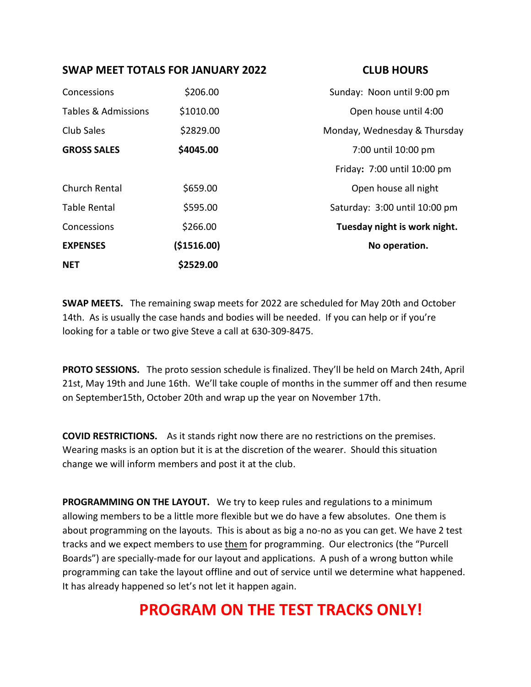## **SWAP MEET TOTALS FOR JANUARY 2022 CLUB HOURS**

| <b>NET</b>          | \$2529.00    |                               |
|---------------------|--------------|-------------------------------|
| <b>EXPENSES</b>     | ( \$1516.00) | No operation.                 |
| Concessions         | \$266.00     | Tuesday night is work night.  |
| <b>Table Rental</b> | \$595.00     | Saturday: 3:00 until 10:00 pm |
| Church Rental       | \$659.00     | Open house all night          |
|                     |              | Friday: 7:00 until 10:00 pm   |
| <b>GROSS SALES</b>  | \$4045.00    | 7:00 until 10:00 pm           |
| Club Sales          | \$2829.00    | Monday, Wednesday & Thursday  |
| Tables & Admissions | \$1010.00    | Open house until 4:00         |
| Concessions         | \$206.00     | Sunday: Noon until 9:00 pm    |

**SWAP MEETS.** The remaining swap meets for 2022 are scheduled for May 20th and October 14th. As is usually the case hands and bodies will be needed. If you can help or if you're looking for a table or two give Steve a call at 630-309-8475.

**PROTO SESSIONS.** The proto session schedule is finalized. They'll be held on March 24th, April 21st, May 19th and June 16th. We'll take couple of months in the summer off and then resume on September15th, October 20th and wrap up the year on November 17th.

**COVID RESTRICTIONS.** As it stands right now there are no restrictions on the premises. Wearing masks is an option but it is at the discretion of the wearer. Should this situation change we will inform members and post it at the club.

**PROGRAMMING ON THE LAYOUT.** We try to keep rules and regulations to a minimum allowing members to be a little more flexible but we do have a few absolutes. One them is about programming on the layouts. This is about as big a no-no as you can get. We have 2 test tracks and we expect members to use them for programming. Our electronics (the "Purcell Boards") are specially-made for our layout and applications. A push of a wrong button while programming can take the layout offline and out of service until we determine what happened. It has already happened so let's not let it happen again.

## **PROGRAM ON THE TEST TRACKS ONLY!**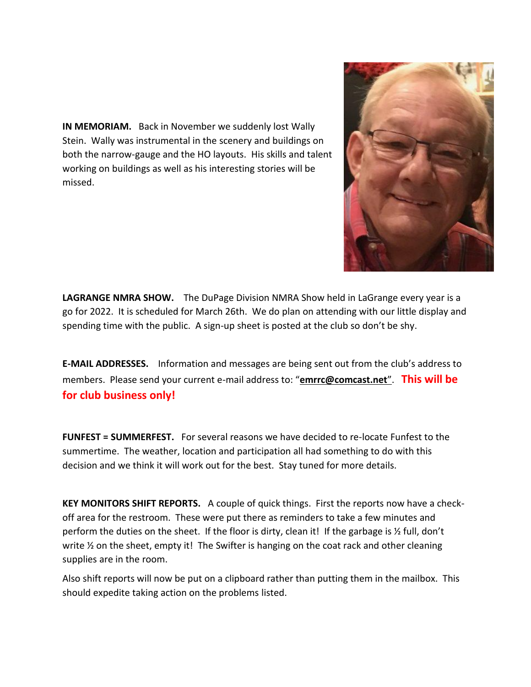**IN MEMORIAM.** Back in November we suddenly lost Wally Stein. Wally was instrumental in the scenery and buildings on both the narrow-gauge and the HO layouts. His skills and talent working on buildings as well as his interesting stories will be missed.



**LAGRANGE NMRA SHOW.** The DuPage Division NMRA Show held in LaGrange every year is a go for 2022. It is scheduled for March 26th. We do plan on attending with our little display and spending time with the public. A sign-up sheet is posted at the club so don't be shy.

**E-MAIL ADDRESSES.** Information and messages are being sent out from the club's address to members. Please send your current e-mail address to: "**[emrrc@comcast.net](mailto:emrrc@comcast.net)**". **This will be for club business only!**

**FUNFEST = SUMMERFEST.** For several reasons we have decided to re-locate Funfest to the summertime. The weather, location and participation all had something to do with this decision and we think it will work out for the best. Stay tuned for more details.

**KEY MONITORS SHIFT REPORTS.** A couple of quick things. First the reports now have a checkoff area for the restroom. These were put there as reminders to take a few minutes and perform the duties on the sheet. If the floor is dirty, clean it! If the garbage is ½ full, don't write  $\frac{1}{2}$  on the sheet, empty it! The Swifter is hanging on the coat rack and other cleaning supplies are in the room.

Also shift reports will now be put on a clipboard rather than putting them in the mailbox. This should expedite taking action on the problems listed.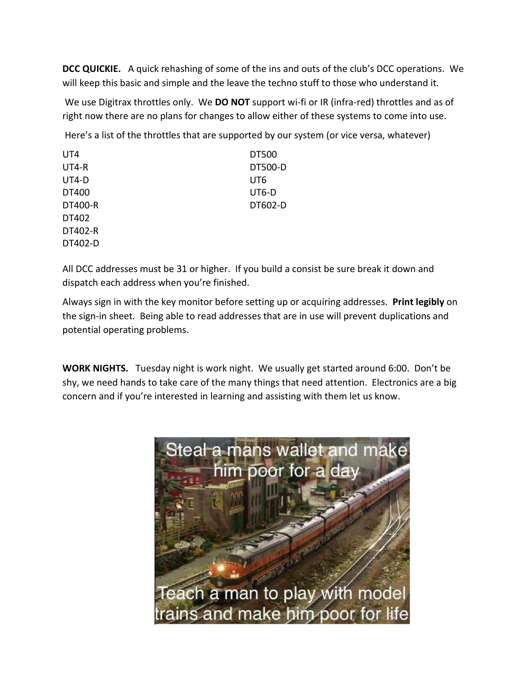**DCC QUICKIE.** A quick rehashing of some of the ins and outs of the club's DCC operations. We will keep this basic and simple and the leave the techno stuff to those who understand it.

We use Digitrax throttles only. We **DO NOT** support wi-fi or IR (infra-red) throttles and as of right now there are no plans for changes to allow either of these systems to come into use.

Here's a list of the throttles that are supported by our system (or vice versa, whatever)

| UT4            | DT500          |
|----------------|----------------|
| UT4-R          | <b>DT500-D</b> |
| $UT4-D$        | UT6            |
| DT400          | UT6-D          |
| <b>DT400-R</b> | DT602-D        |
| DT402          |                |
| DT402-R        |                |
| DT402-D        |                |

All DCC addresses must be 31 or higher. If you build a consist be sure break it down and dispatch each address when you're finished.

Always sign in with the key monitor before setting up or acquiring addresses. **Print legibly** on the sign-in sheet. Being able to read addresses that are in use will prevent duplications and potential operating problems.

**WORK NIGHTS.** Tuesday night is work night. We usually get started around 6:00. Don't be shy, we need hands to take care of the many things that need attention. Electronics are a big concern and if you're interested in learning and assisting with them let us know.

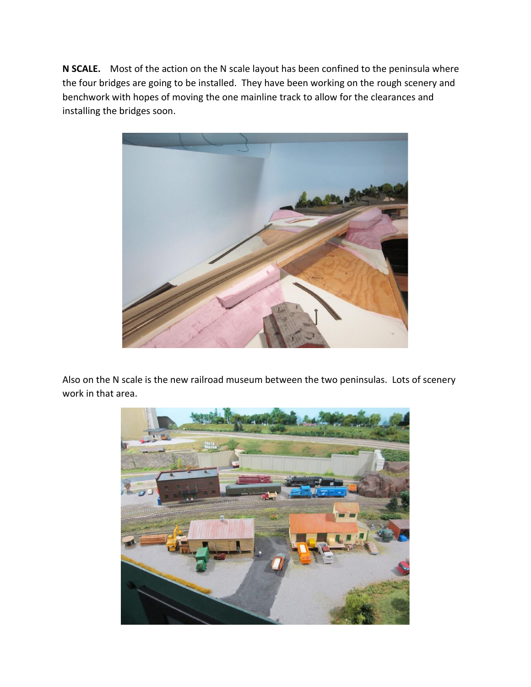**N SCALE.** Most of the action on the N scale layout has been confined to the peninsula where the four bridges are going to be installed. They have been working on the rough scenery and benchwork with hopes of moving the one mainline track to allow for the clearances and installing the bridges soon.



Also on the N scale is the new railroad museum between the two peninsulas. Lots of scenery work in that area.

![](_page_4_Picture_3.jpeg)